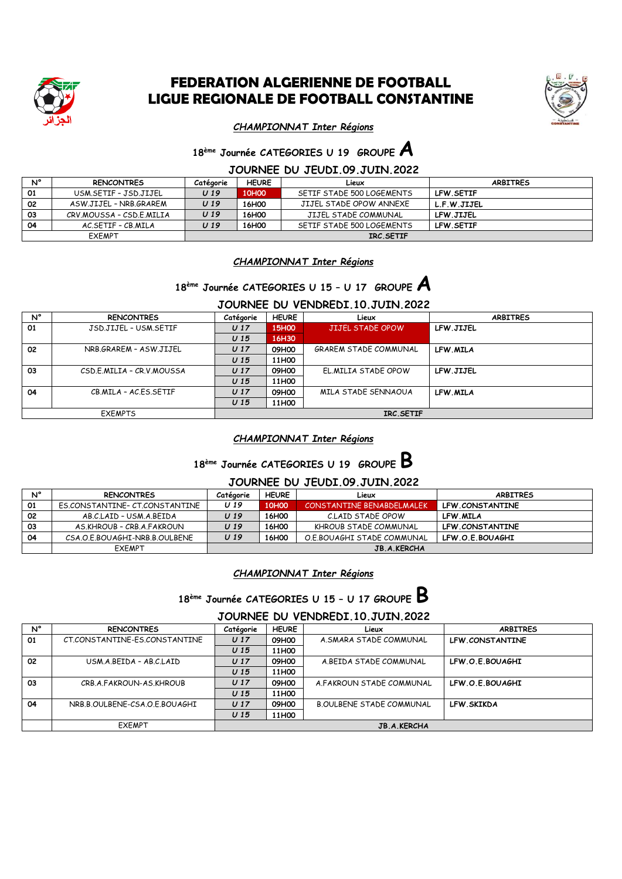

### **FEDERATION ALGERIENNE DE FOOTBALL LIGUE REGIONALE DE FOOTBALL CONSTANTINE**



#### *CHAMPIONNAT Inter Régions*

# **18 ème Journée CATEGORIES U 19 GROUPE A**

#### **JOURNEE DU JEUDI.09.JUIN.2022**

| N°            | <b>RENCONTRES</b>        | Catégorie       | <b>HEURE</b>      | Lieux                     | <b>ARBITRES</b>  |
|---------------|--------------------------|-----------------|-------------------|---------------------------|------------------|
| 01            | USM.SETIF - JSD.JIJEL    | U <sub>19</sub> | 10H <sub>0</sub>  | SETIF STADE 500 LOGEMENTS | <b>LFW.SETIF</b> |
| 02            | ASW.JIJEL - NRB.GRAREM   | U <sub>19</sub> | 16H <sub>00</sub> | JIJEL STADE OPOW ANNEXE   | L.F.W.JIJEL      |
| 03            | CRV.MOUSSA - CSD.E.MILIA | U <sub>19</sub> | 16H <sub>00</sub> | JIJEL STADE COMMUNAL      | LFW.JIJEL        |
| 04            | AC SFTIF - CB MILA       | U <sub>19</sub> | 16H <sub>0</sub>  | SETIF STADE 500 LOGEMENTS | <b>LFW.SETIF</b> |
| <b>EXEMPT</b> |                          | IRC.SETIF       |                   |                           |                  |

*CHAMPIONNAT Inter Régions*

# **18 ème Journée CATEGORIES U 15 – U 17 GROUPE A**

### **JOURNEE DU VENDREDI.10.JUIN.2022**

| N° | <b>RENCONTRES</b>         | Catégorie       | <b>HEURE</b>      | Lieux                        | <b>ARBITRES</b> |
|----|---------------------------|-----------------|-------------------|------------------------------|-----------------|
| 01 | JSD.JIJEL - USM.SETIF     | U <sub>17</sub> | 15H <sub>00</sub> | JIJEL STADE OPOW             | LFW.JIJEL       |
|    |                           | U <sub>15</sub> | 16H30             |                              |                 |
| 02 | NRB.GRAREM - ASW.JIJEL    | U <sub>17</sub> | 09H00             | <b>GRAREM STADE COMMUNAL</b> | LFW MILA        |
|    |                           | U <sub>15</sub> | 11H00             |                              |                 |
| 03 | CSD.E.MILIA - CR.V.MOUSSA | U <sub>17</sub> | 09H00             | EL.MILIA STADE OPOW          | LFW.JIJEL       |
|    |                           | U <sub>15</sub> | 11H00             |                              |                 |
| 04 | CB.MILA - AC.ES.SETIF     | U <sub>17</sub> | 09H00             | MILA STADE SENNAOUA          | LFW MILA        |
|    |                           | U <sub>15</sub> | 11H00             |                              |                 |
|    | <b>EXEMPTS</b>            | IRC.SETIF       |                   |                              |                 |

#### *CHAMPIONNAT Inter Régions*

# **18 ème Journée CATEGORIES U 19 GROUPE B**

#### **JOURNEE DU JEUDI.09.JUIN.2022**

| N° | <b>RENCONTRES</b>              | Catégorie          | <b>HEURE</b>      | Lieux                      | <b>ARBITRES</b> |  |
|----|--------------------------------|--------------------|-------------------|----------------------------|-----------------|--|
| 01 | ES.CONSTANTINE- CT.CONSTANTINE | U 19               | 10H <sub>00</sub> | CONSTANTINE BENABDELMALEK  | LFW.CONSTANTINE |  |
| 02 | AB.C.LAID - USM.A.BEIDA        | U 19               | 16H00             | C.LAID STADE OPOW          | LFW.MILA        |  |
| 03 | AS.KHROUB - CRB.A.FAKROUN      | U 19               | 16H00             | KHROUB STADE COMMUNAL      | LFW.CONSTANTINE |  |
| 04 | CSA.O.E.BOUAGHI-NRB.B.OULBENE  | U 19               | 16H <sub>00</sub> | O.E.BOUAGHI STADE COMMUNAL | LFW.O.E.BOUAGHI |  |
|    | <b>EXEMPT</b>                  | <b>JB.A.KERCHA</b> |                   |                            |                 |  |

#### *CHAMPIONNAT Inter Régions*

# **18 ème Journée CATEGORIES U 15 – U 17 GROUPE B**

#### **JOURNEE DU VENDREDI.10.JUIN.2022**

| N° | <b>RENCONTRES</b>             | Catégorie          | <b>HEURE</b>      | Lieux                           | <b>ARBITRES</b> |  |
|----|-------------------------------|--------------------|-------------------|---------------------------------|-----------------|--|
| 01 | CT.CONSTANTINE-ES.CONSTANTINE | U <sub>17</sub>    | 09H00             | A.SMARA STADE COMMUNAL          | LFW.CONSTANTINE |  |
|    |                               | U <sub>15</sub>    | 11H00             |                                 |                 |  |
| 02 | USM.A.BEIDA - AB.C.LAID       | U <sub>17</sub>    | 09H00             | A.BEIDA STADE COMMUNAL          | LFW O E BOUAGHT |  |
|    |                               | U <sub>15</sub>    | 11H <sub>00</sub> |                                 |                 |  |
| 03 | CRB.A.FAKROUN-AS.KHROUB       | U <sub>17</sub>    | 09H00             | A FAKROUN STADE COMMUNAL        | LFW.O.E.BOUAGHI |  |
|    |                               | U <sub>15</sub>    | 11H00             |                                 |                 |  |
| 04 | NRB.B.OULBENE-CSA.O.E.BOUAGHI | U <sub>17</sub>    | 09H00             | <b>B.OULBENE STADE COMMUNAL</b> | LFW.SKIKDA      |  |
|    |                               | U <sub>15</sub>    | 11H <sub>00</sub> |                                 |                 |  |
|    | <b>EXEMPT</b>                 | <b>JB.A.KERCHA</b> |                   |                                 |                 |  |